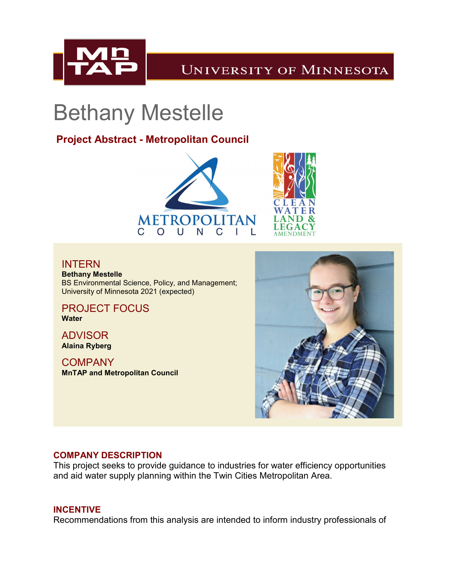

## **UNIVERSITY OF MINNESOTA**

# Bethany Mestelle

### **Project Abstract - Metropolitan Council**





#### INTERN

**Bethany Mestelle** BS Environmental Science, Policy, and Management; University of Minnesota 2021 (expected)

PROJECT FOCUS **Water**

ADVISOR **Alaina Ryberg**

**COMPANY MnTAP and Metropolitan Council** 



#### **COMPANY DESCRIPTION**

This project seeks to provide guidance to industries for water efficiency opportunities and aid water supply planning within the Twin Cities Metropolitan Area.

#### **INCENTIVE**

Recommendations from this analysis are intended to inform industry professionals of